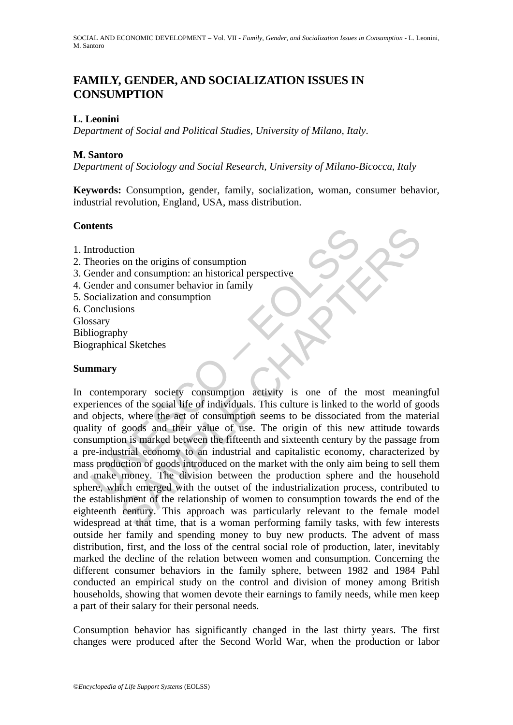# **FAMILY, GENDER, AND SOCIALIZATION ISSUES IN CONSUMPTION**

## **L. Leonini**

*Department of Social and Political Studies, University of Milano, Italy*.

#### **M. Santoro**

*Department of Sociology and Social Research, University of Milano-Bicocca, Italy* 

**Keywords:** Consumption, gender, family, socialization, woman, consumer behavior, industrial revolution, England, USA, mass distribution.

#### **Contents**

- 1. Introduction
- 2. Theories on the origins of consumption
- 3. Gender and consumption: an historical perspective
- 4. Gender and consumer behavior in family
- 5. Socialization and consumption
- 6. Conclusions

Glossary Bibliography Biographical Sketches

#### **Summary**

The means are also the origins of consumption<br>theories on the origins of consumption<br>ender and consumption: an historical perspective<br>ender and consumer behavior in family<br>occalization and consumption<br>soloculations<br>sary<br>sa From the origins of consumption<br>and consumption and consumption and consumption and consumption and instancial perspective<br>and consumption and consumption and instancial perspective<br>tion and consumption activity is one of In contemporary society consumption activity is one of the most meaningful experiences of the social life of individuals. This culture is linked to the world of goods and objects, where the act of consumption seems to be dissociated from the material quality of goods and their value of use. The origin of this new attitude towards consumption is marked between the fifteenth and sixteenth century by the passage from a pre-industrial economy to an industrial and capitalistic economy, characterized by mass production of goods introduced on the market with the only aim being to sell them and make money. The division between the production sphere and the household sphere, which emerged with the outset of the industrialization process, contributed to the establishment of the relationship of women to consumption towards the end of the eighteenth century. This approach was particularly relevant to the female model widespread at that time, that is a woman performing family tasks, with few interests outside her family and spending money to buy new products. The advent of mass distribution, first, and the loss of the central social role of production, later, inevitably marked the decline of the relation between women and consumption. Concerning the different consumer behaviors in the family sphere, between 1982 and 1984 Pahl conducted an empirical study on the control and division of money among British households, showing that women devote their earnings to family needs, while men keep a part of their salary for their personal needs.

Consumption behavior has significantly changed in the last thirty years. The first changes were produced after the Second World War, when the production or labor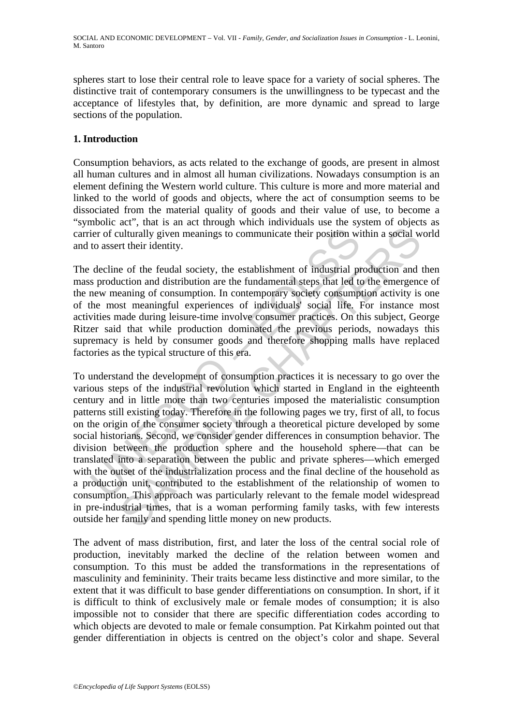spheres start to lose their central role to leave space for a variety of social spheres. The distinctive trait of contemporary consumers is the unwillingness to be typecast and the acceptance of lifestyles that, by definition, are more dynamic and spread to large sections of the population.

## **1. Introduction**

Consumption behaviors, as acts related to the exchange of goods, are present in almost all human cultures and in almost all human civilizations. Nowadays consumption is an element defining the Western world culture. This culture is more and more material and linked to the world of goods and objects, where the act of consumption seems to be dissociated from the material quality of goods and their value of use, to become a "symbolic act", that is an act through which individuals use the system of objects as carrier of culturally given meanings to communicate their position within a social world and to assert their identity.

The decline of the feudal society, the establishment of industrial production and then mass production and distribution are the fundamental steps that led to the emergence of the new meaning of consumption. In contemporary society consumption activity is one of the most meaningful experiences of individuals' social life. For instance most activities made during leisure-time involve consumer practices. On this subject, George Ritzer said that while production dominated the previous periods, nowadays this supremacy is held by consumer goods and therefore shopping malls have replaced factories as the typical structure of this era.

ier of culturally given meanings to communicate their position wi<br>to assert their identity.<br>decline of the feudal society, the establishment of industrial pr<br>so production and distribution are the fundamental steps that le ulturally given meanings to communicate their position within a social welturally given meanings to communicate their position within a social welt their identity.<br>
e of the feudal society, the establishment of industrial To understand the development of consumption practices it is necessary to go over the various steps of the industrial revolution which started in England in the eighteenth century and in little more than two centuries imposed the materialistic consumption patterns still existing today. Therefore in the following pages we try, first of all, to focus on the origin of the consumer society through a theoretical picture developed by some social historians. Second, we consider gender differences in consumption behavior. The division between the production sphere and the household sphere—that can be translated into a separation between the public and private spheres—which emerged with the outset of the industrialization process and the final decline of the household as a production unit, contributed to the establishment of the relationship of women to consumption. This approach was particularly relevant to the female model widespread in pre-industrial times, that is a woman performing family tasks, with few interests outside her family and spending little money on new products.

The advent of mass distribution, first, and later the loss of the central social role of production, inevitably marked the decline of the relation between women and consumption. To this must be added the transformations in the representations of masculinity and femininity. Their traits became less distinctive and more similar, to the extent that it was difficult to base gender differentiations on consumption. In short, if it is difficult to think of exclusively male or female modes of consumption; it is also impossible not to consider that there are specific differentiation codes according to which objects are devoted to male or female consumption. Pat Kirkahm pointed out that gender differentiation in objects is centred on the object's color and shape. Several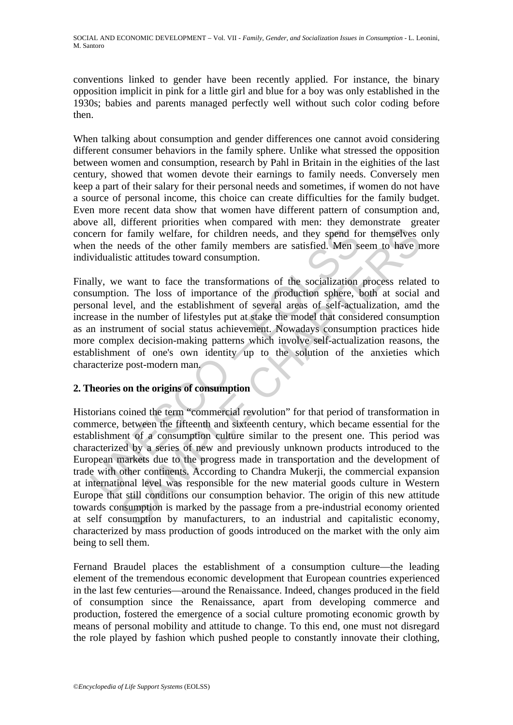conventions linked to gender have been recently applied. For instance, the binary opposition implicit in pink for a little girl and blue for a boy was only established in the 1930s; babies and parents managed perfectly well without such color coding before then.

When talking about consumption and gender differences one cannot avoid considering different consumer behaviors in the family sphere. Unlike what stressed the opposition between women and consumption, research by Pahl in Britain in the eighities of the last century, showed that women devote their earnings to family needs. Conversely men keep a part of their salary for their personal needs and sometimes, if women do not have a source of personal income, this choice can create difficulties for the family budget. Even more recent data show that women have different pattern of consumption and, above all, different priorities when compared with men: they demonstrate greater concern for family welfare, for children needs, and they spend for themselves only when the needs of the other family members are satisfied. Men seem to have more individualistic attitudes toward consumption.

cern for family welfare, for children needs, and they spend for the needs of the other family members are satisfied. Men swidualistic attitudes toward consumption.<br>
Illy, we want to face the transformations of the socializ Finally, we want to face the transformations of the socialization process related to consumption. The loss of importance of the production sphere, both at social and personal level, and the establishment of several areas of self-actualization, amd the increase in the number of lifestyles put at stake the model that considered consumption as an instrument of social status achievement. Nowadays consumption practices hide more complex decision-making patterns which involve self-actualization reasons, the establishment of one's own identity up to the solution of the anxieties which characterize post-modern man.

#### **2. Theories on the origins of consumption**

The minitary welfare, for children needs, and they spend for themselves or family welfare, for children needs, and they spend for themselves meeds of the other family members are satisfied. Men seen to have needs of the ot Historians coined the term "commercial revolution" for that period of transformation in commerce, between the fifteenth and sixteenth century, which became essential for the establishment of a consumption culture similar to the present one. This period was characterized by a series of new and previously unknown products introduced to the European markets due to the progress made in transportation and the development of trade with other continents. According to Chandra Mukerji, the commercial expansion at international level was responsible for the new material goods culture in Western Europe that still conditions our consumption behavior. The origin of this new attitude towards consumption is marked by the passage from a pre-industrial economy oriented at self consumption by manufacturers, to an industrial and capitalistic economy, characterized by mass production of goods introduced on the market with the only aim being to sell them.

Fernand Braudel places the establishment of a consumption culture—the leading element of the tremendous economic development that European countries experienced in the last few centuries—around the Renaissance. Indeed, changes produced in the field of consumption since the Renaissance, apart from developing commerce and production, fostered the emergence of a social culture promoting economic growth by means of personal mobility and attitude to change. To this end, one must not disregard the role played by fashion which pushed people to constantly innovate their clothing,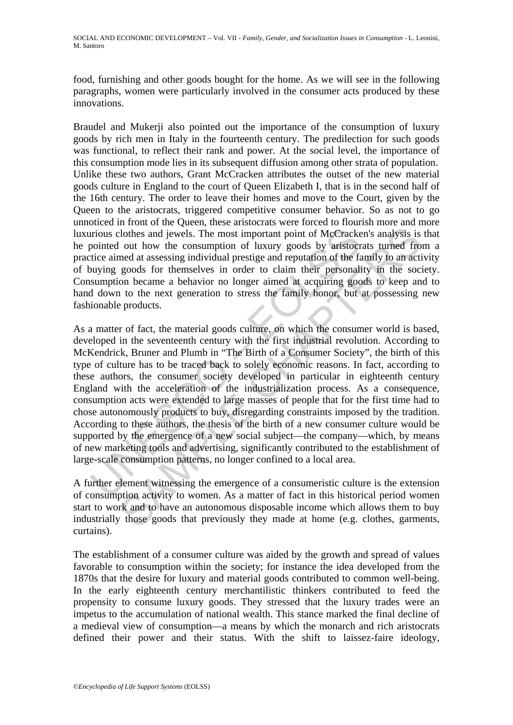food, furnishing and other goods bought for the home. As we will see in the following paragraphs, women were particularly involved in the consumer acts produced by these innovations.

Braudel and Mukerji also pointed out the importance of the consumption of luxury goods by rich men in Italy in the fourteenth century. The predilection for such goods was functional, to reflect their rank and power. At the social level, the importance of this consumption mode lies in its subsequent diffusion among other strata of population. Unlike these two authors, Grant McCracken attributes the outset of the new material goods culture in England to the court of Queen Elizabeth I, that is in the second half of the 16th century. The order to leave their homes and move to the Court, given by the Queen to the aristocrats, triggered competitive consumer behavior. So as not to go unnoticed in front of the Queen, these aristocrats were forced to flourish more and more luxurious clothes and jewels. The most important point of McCracken's analysis is that he pointed out how the consumption of luxury goods by aristocrats turned from a practice aimed at assessing individual prestige and reputation of the family to an activity of buying goods for themselves in order to claim their personality in the society. Consumption became a behavior no longer aimed at acquiring goods to keep and to hand down to the next generation to stress the family honor, but at possessing new fashionable products.

irious clothes and jewels. The most important point of McCrack<br>pointed out how the consumption of luxury goods by aristocr<br>tice aimed at assessing individual prestige and reputation of the fa<br>buying goods for themselves in Clothes and jewels. The most important point of McCracken's analysis is<br>cout how the consumption of luxury goods by aristocrats unred from<br>end at assessing individual prestige and reputation of the family to an action<br>goo As a matter of fact, the material goods culture, on which the consumer world is based, developed in the seventeenth century with the first industrial revolution. According to McKendrick, Bruner and Plumb in "The Birth of a Consumer Society", the birth of this type of culture has to be traced back to solely economic reasons. In fact, according to these authors, the consumer society developed in particular in eighteenth century England with the acceleration of the industrialization process. As a consequence, consumption acts were extended to large masses of people that for the first time had to chose autonomously products to buy, disregarding constraints imposed by the tradition. According to these authors, the thesis of the birth of a new consumer culture would be supported by the emergence of a new social subject—the company—which, by means of new marketing tools and advertising, significantly contributed to the establishment of large-scale consumption patterns, no longer confined to a local area.

A further element witnessing the emergence of a consumeristic culture is the extension of consumption activity to women. As a matter of fact in this historical period women start to work and to have an autonomous disposable income which allows them to buy industrially those goods that previously they made at home (e.g. clothes, garments, curtains).

The establishment of a consumer culture was aided by the growth and spread of values favorable to consumption within the society; for instance the idea developed from the 1870s that the desire for luxury and material goods contributed to common well-being. In the early eighteenth century merchantilistic thinkers contributed to feed the propensity to consume luxury goods. They stressed that the luxury trades were an impetus to the accumulation of national wealth. This stance marked the final decline of a medieval view of consumption—a means by which the monarch and rich aristocrats defined their power and their status. With the shift to laissez-faire ideology,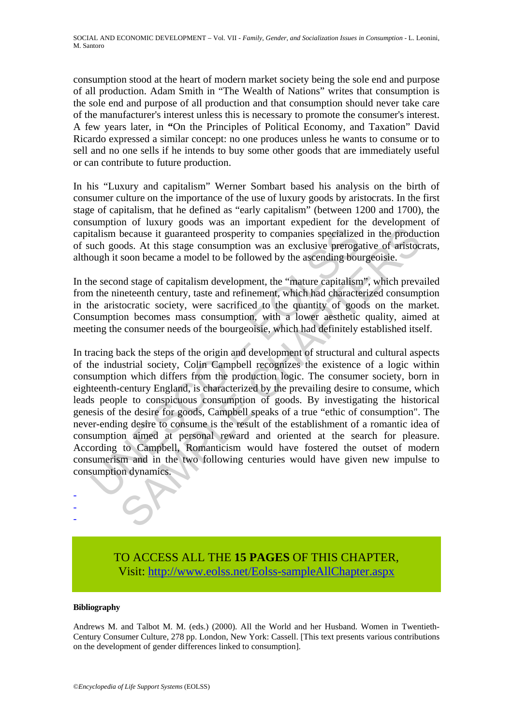consumption stood at the heart of modern market society being the sole end and purpose of all production. Adam Smith in "The Wealth of Nations" writes that consumption is the sole end and purpose of all production and that consumption should never take care of the manufacturer's interest unless this is necessary to promote the consumer's interest. A few years later, in **"**On the Principles of Political Economy, and Taxation" David Ricardo expressed a similar concept: no one produces unless he wants to consume or to sell and no one sells if he intends to buy some other goods that are immediately useful or can contribute to future production.

In his "Luxury and capitalism" Werner Sombart based his analysis on the birth of consumer culture on the importance of the use of luxury goods by aristocrats. In the first stage of capitalism, that he defined as "early capitalism" (between 1200 and 1700), the consumption of luxury goods was an important expedient for the development of capitalism because it guaranteed prosperity to companies specialized in the production of such goods. At this stage consumption was an exclusive prerogative of aristocrats, although it soon became a model to be followed by the ascending bourgeoisie.

In the second stage of capitalism development, the "mature capitalism", which prevailed from the nineteenth century, taste and refinement, which had characterized consumption in the aristocratic society, were sacrificed to the quantity of goods on the market. Consumption becomes mass consumption, with a lower aesthetic quality, aimed at meeting the consumer needs of the bourgeoisie, which had definitely established itself.

talism because it guaranteed prosperity to companies specialized<br>uch goods. At this stage consumption was an exclusive preroga<br>ough it soon became a model to be followed by the ascending bou<br>ne second stage of capitalism d because it guaranteed prosperity to companies specialized in the produce because it guaranteed prosperity to companies specialized in the produce ods. At this stage consumption was an exclusive prerogative of aristoc soon In tracing back the steps of the origin and development of structural and cultural aspects of the industrial society, Colin Campbell recognizes the existence of a logic within consumption which differs from the production logic. The consumer society, born in eighteenth-century England, is characterized by the prevailing desire to consume, which leads people to conspicuous consumption of goods. By investigating the historical genesis of the desire for goods, Campbell speaks of a true "ethic of consumption". The never-ending desire to consume is the result of the establishment of a romantic idea of consumption aimed at personal reward and oriented at the search for pleasure. According to Campbell, Romanticism would have fostered the outset of modern consumerism and in the two following centuries would have given new impulse to consumption dynamics.

> TO ACCESS ALL THE **15 PAGES** OF THIS CHAPTER, Visit[: http://www.eolss.net/Eolss-sampleAllChapter.aspx](https://www.eolss.net/ebooklib/sc_cart.aspx?File=E1-20-05-04)

#### **Bibliography**

- - -

Andrews M. and Talbot M. M. (eds.) (2000). All the World and her Husband. Women in Twentieth-Century Consumer Culture, 278 pp. London, New York: Cassell. [This text presents various contributions on the development of gender differences linked to consumption].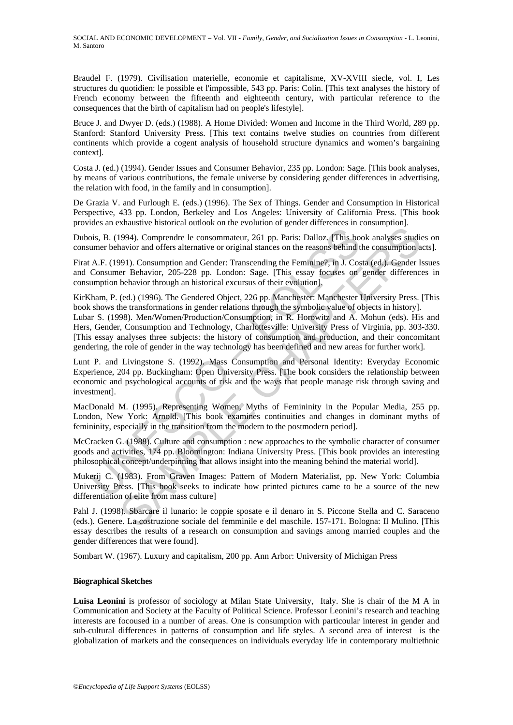Braudel F. (1979). Civilisation materielle, economie et capitalisme, XV-XVIII siecle, vol. I, Les structures du quotidien: le possible et l'impossible, 543 pp. Paris: Colin. [This text analyses the history of French economy between the fifteenth and eighteenth century, with particular reference to the consequences that the birth of capitalism had on people's lifestyle].

Bruce J. and Dwyer D. (eds.) (1988). A Home Divided: Women and Income in the Third World, 289 pp. Stanford: Stanford University Press. [This text contains twelve studies on countries from different continents which provide a cogent analysis of household structure dynamics and women's bargaining context].

Costa J. (ed.) (1994). Gender Issues and Consumer Behavior, 235 pp. London: Sage. [This book analyses, by means of various contributions, the female universe by considering gender differences in advertising, the relation with food, in the family and in consumption].

De Grazia V. and Furlough E. (eds.) (1996). The Sex of Things. Gender and Consumption in Historical Perspective, 433 pp. London, Berkeley and Los Angeles: University of California Press. [This book provides an exhaustive historical outlook on the evolution of gender differences in consumption].

Dubois, B. (1994). Comprendre le consommateur, 261 pp. Paris: Dalloz. [This book analyses studies on consumer behavior and offers alternative or original stances on the reasons behind the consumption acts].

Firat A.F. (1991). Consumption and Gender: Transcending the Feminine?, in J. Costa (ed.). Gender Issues and Consumer Behavior, 205-228 pp. London: Sage. [This essay focuses on gender differences in consumption behavior through an historical excursus of their evolution].

KirKham, P. (ed.) (1996). The Gendered Object, 226 pp. Manchester: Manchester University Press. [This book shows the transformations in gender relations through the symbolic value of objects in history].

bis, B. (1994). Comprendre le consommateur, 261 pp. Paris: Dalloz. (This bottlement behavior and offers alternative or original stances on the reasons behind A.F. (1991). Consumption and Gender: Transcending the Feminine?, 1994). Comprendre le consommateur, 261 pp. Paris: Dalloz. (This book analyses studia<br>avior and offers alternative or original stances on the reasons behind the consumption a<br>avior and offers alternative or original stances Lubar S. (1998). Men/Women/Production/Consumption, in R. Horowitz and A. Mohun (eds). His and Hers, Gender, Consumption and Technology, Charlottesville: University Press of Virginia, pp. 303-330. [This essay analyses three subjects: the history of consumption and production, and their concomitant gendering, the role of gender in the way technology has been defined and new areas for further work].

Lunt P. and Livingstone S. (1992). Mass Consumption and Personal Identity: Everyday Economic Experience, 204 pp. Buckingham: Open University Press. [The book considers the relationship between economic and psychological accounts of risk and the ways that people manage risk through saving and investment].

MacDonald M. (1995). Representing Women, Myths of Femininity in the Popular Media, 255 pp. London, New York: Arnold. [This book examines continuities and changes in dominant myths of femininity, especially in the transition from the modern to the postmodern period].

McCracken G. (1988). Culture and consumption : new approaches to the symbolic character of consumer goods and activities, 174 pp. Bloomington: Indiana University Press. [This book provides an interesting philosophical concept/underpinning that allows insight into the meaning behind the material world].

Mukerij C. (1983). From Graven Images: Pattern of Modern Materialist, pp. New York: Columbia University Press. [This book seeks to indicate how printed pictures came to be a source of the new differentiation of elite from mass culture]

Pahl J. (1998). Sbarcare il lunario: le coppie sposate e il denaro in S. Piccone Stella and C. Saraceno (eds.). Genere. La costruzione sociale del femminile e del maschile. 157-171. Bologna: Il Mulino. [This essay describes the results of a research on consumption and savings among married couples and the gender differences that were found].

Sombart W. (1967). Luxury and capitalism, 200 pp. Ann Arbor: University of Michigan Press

#### **Biographical Sketches**

**Luisa Leonini** is professor of sociology at Milan State University, Italy. She is chair of the M A in Communication and Society at the Faculty of Political Science. Professor Leonini's research and teaching interests are focoused in a number of areas. One is consumption with particoular interest in gender and sub-cultural differences in patterns of consumption and life styles. A second area of interest is the globalization of markets and the consequences on individuals everyday life in contemporary multiethnic